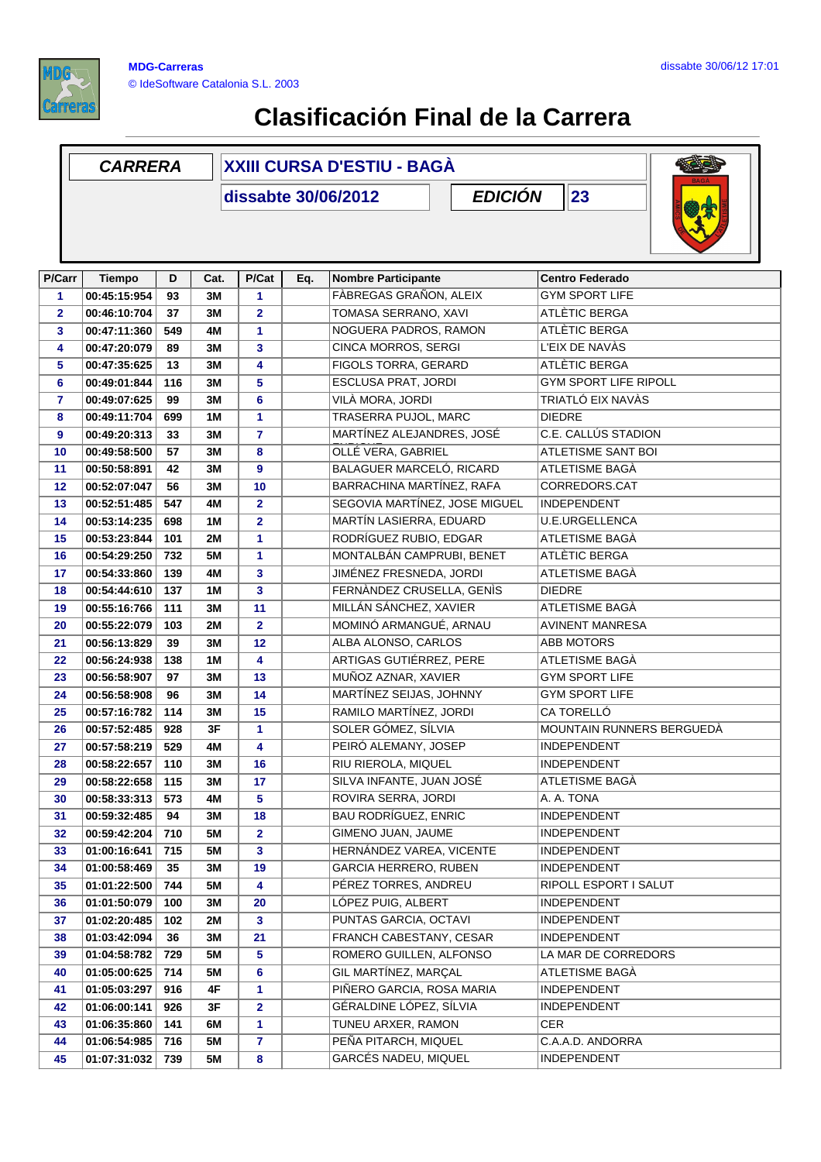

## **Clasificación Final de la Carrera**

## **D Cat. P/Cat Eq. Nombre Participante Centro Federado CARRERA XXIII CURSA D'ESTIU - BAGÀ dissabte 30/06/2012 P/Carr Tiempo EDICIÓN 23 P/Cat 00:45:15:954 93 3M 1** FÀBREGAS GRAÑON, ALEIX GYM SPORT LIFE **00:46:10:704 37 3M 2** TOMASA SERRANO, XAVI ATLÈTIC BERGA **00:47:11:360 549 4M 1** NOGUERA PADROS, RAMON ATLÈTIC BERGA **00:47:20:079 89 3M 3** CINCA MORROS, SERGI L'EIX DE NAVÀS **00:47:35:625 13 3M 4** FIGOLS TORRA, GERARD ATLÈTIC BERGA **00:49:01:844 116 3M 5** ESCLUSA PRAT, JORDI GYM SPORT LIFE RIPOLL **00:49:07:625 99 3M 6** VILÀ MORA, JORDI TRIATLÓ EIX NAVÀS **00:49:11:704 699 1M 1** TRASERRA PUJOL, MARC DIEDRE **33** MARTÍNEZ ALEJANDRES, JOSÉ **00:49:20:313 3M 7** C.E. CALLÚS STADION ENRIQUE **00:49:58:500 57 3M 8** OLLÉ VERA, GABRIEL ATLETISME SANT BOI **00:50:58:891 42 3M 9** BALAGUER MARCELÓ, RICARD ATLETISME BAGÀ **00:52:07:047 56 3M 10** BARRACHINA MARTÍNEZ, RAFA CORREDORS.CAT **00:52:51:485 547 4M 2** SEGOVIA MARTÍNEZ, JOSE MIGUEL INDEPENDENT **00:53:14:235 698 1M 2** MARTÍN LASIERRA, EDUARD U.E.URGELLENCA **00:53:23:844 101 2M 1** RODRÍGUEZ RUBIO, EDGAR ATLETISME BAGÀ **00:54:29:250 732 5M 1** MONTALBÁN CAMPRUBI, BENET ATLÈTIC BERGA **00:54:33:860 139 4M 3** JIMÉNEZ FRESNEDA, JORDI ATLETISME BAGÀ **00:54:44:610 137 1M 3** FERNÀNDEZ CRUSELLA, GENÌS DIEDRE **00:55:16:766 111 3M 11** MILLÁN SÁNCHEZ, XAVIER ATLETISME BAGÀ **00:55:22:079 103 2M 2** MOMINÓ ARMANGUÉ, ARNAU AVINENT MANRESA **00:56:13:829 39 3M 12 ALBA ALONSO, CARLOS ABB MOTORS 00:56:24:938 138 1M 4** ARTIGAS GUTIÉRREZ, PERE ATLETISME BAGÀ **00:56:58:907 97 3M 13** MUÑOZ AZNAR, XAVIER GYM SPORT LIFE **00:56:58:908 96 3M 14** MARTÍNEZ SEIJAS, JOHNNY GYM SPORT LIFE **00:57:16:782 114 3M 15** RAMILO MARTÍNEZ, JORDI CA TORELLÓ **00:57:52:485 928 3F 1** SOLER GÓMEZ, SÍLVIA MOUNTAIN RUNNERS BERGUEDÀ **00:57:58:219 529 4M 4** PEIRÓ ALEMANY, JOSEP INDEPENDENT **00:58:22:657 110 3M 16** RIU RIEROLA, MIQUEL INDEPENDENT **00:58:22:658 115 3M 17** SILVA INFANTE, JUAN JOSÉ ATLETISME BAGÀ **00:58:33:313 573 4M 5** ROVIRA SERRA, JORDI A. A. TONA **00:59:32:485 94 3M 18** BAU RODRÍGUEZ, ENRIC INDEPENDENT **00:59:42:204 710 5M 2** GIMENO JUAN, JAUME INDEPENDENT **01:00:16:641 715 5M 3** HERNÁNDEZ VAREA, VICENTE INDEPENDENT **01:00:58:469 35 3M 19** GARCIA HERRERO, RUBEN INDEPENDENT **01:01:22:500 744 5M 4** PÉREZ TORRES, ANDREU RIPOLL ESPORT I SALUT **01:01:50:079 100 3M 20** LÓPEZ PUIG, ALBERT INDEPENDENT **01:02:20:485 102 2M 3** PUNTAS GARCIA, OCTAVI INDEPENDENT **01:03:42:094 36 3M 21** FRANCH CABESTANY, CESAR INDEPENDENT **01:04:58:782 729 5M 5 5** ROMERO GUILLEN, ALFONSO LA MAR DE CORREDORS **01:05:00:625 714 5M 6** GIL MARTÍNEZ, MARÇAL ATLETISME BAGÀ **01:05:03:297 916 4F 1** PIÑERO GARCIA, ROSA MARIA INDEPENDENT **01:06:00:141 926 3F 2** GÉRALDINE LÓPEZ, SÍLVIA INDEPENDENT **01:06:35:860 141 6M 1** TUNEU ARXER, RAMON CER **01:06:54:985 716 5M 7** PEÑA PITARCH, MIQUEL C.A.A.D. ANDORRA **01:07:31:032 739 5M 8** GARCÉS NADEU, MIQUEL INDEPENDENT